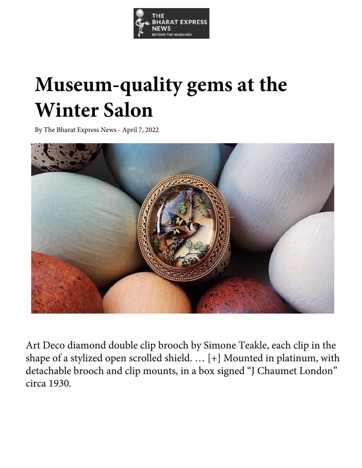

## **Museum-quality gems at the Winter Salon**

By The Bharat Express News - April 7, 2022



Art Deco diamond double clip brooch by Simone Teakle, each clip in the shape of a stylized open scrolled shield. … [+] Mounted in platinum, with detachable brooch and clip mounts, in a box signed "J Chaumet London" circa 1930.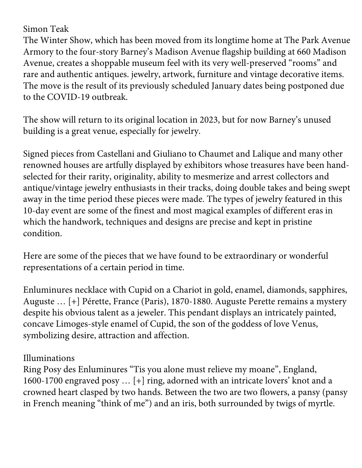Simon Teak

The Winter Show, which has been moved from its longtime home at The Park Avenue Armory to the four-story Barney's Madison Avenue flagship building at 660 Madison Avenue, creates a shoppable museum feel with its very well-preserved "rooms" and rare and authentic antiques. jewelry, artwork, furniture and vintage decorative items. The move is the result of its previously scheduled January dates being postponed due to the COVID-19 outbreak.

The show will return to its original location in 2023, but for now Barney's unused building is a great venue, especially for jewelry.

Signed pieces from Castellani and Giuliano to Chaumet and Lalique and many other renowned houses are artfully displayed by exhibitors whose treasures have been handselected for their rarity, originality, ability to mesmerize and arrest collectors and antique/vintage jewelry enthusiasts in their tracks, doing double takes and being swept away in the time period these pieces were made. The types of jewelry featured in this 10-day event are some of the finest and most magical examples of different eras in which the handwork, techniques and designs are precise and kept in pristine condition.

Here are some of the pieces that we have found to be extraordinary or wonderful representations of a certain period in time.

Enluminures necklace with Cupid on a Chariot in gold, enamel, diamonds, sapphires, Auguste … [+] Pérette, France (Paris), 1870-1880. Auguste Perette remains a mystery despite his obvious talent as a jeweler. This pendant displays an intricately painted, concave Limoges-style enamel of Cupid, the son of the goddess of love Venus, symbolizing desire, attraction and affection.

Illuminations

Ring Posy des Enluminures "Tis you alone must relieve my moane", England, 1600-1700 engraved posy … [+] ring, adorned with an intricate lovers' knot and a crowned heart clasped by two hands. Between the two are two flowers, a pansy (pansy in French meaning "think of me") and an iris, both surrounded by twigs of myrtle.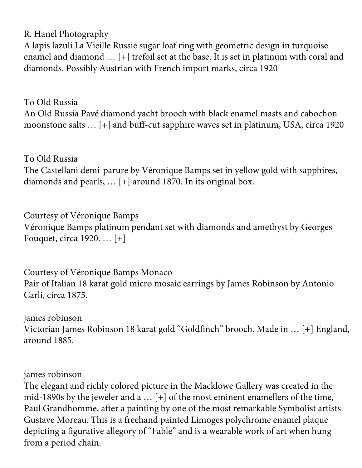R. Hanel Photography

A lapis lazuli La Vieille Russie sugar loaf ring with geometric design in turquoise enamel and diamond … [+] trefoil set at the base. It is set in platinum with coral and diamonds. Possibly Austrian with French import marks, circa 1920

To Old Russia An Old Russia Pavé diamond yacht brooch with black enamel masts and cabochon moonstone salts … [+] and buff-cut sapphire waves set in platinum, USA, circa 1920

To Old Russia The Castellani demi-parure by Véronique Bamps set in yellow gold with sapphires, diamonds and pearls, … [+] around 1870. In its original box.

Courtesy of Véronique Bamps Véronique Bamps platinum pendant set with diamonds and amethyst by Georges Fouquet, circa 1920. … [+]

Courtesy of Véronique Bamps Monaco Pair of Italian 18 karat gold micro mosaic earrings by James Robinson by Antonio Carli, circa 1875.

james robinson Victorian James Robinson 18 karat gold "Goldfinch" brooch. Made in … [+] England, around 1885.

james robinson

The elegant and richly colored picture in the Macklowe Gallery was created in the mid-1890s by the jeweler and a … [+] of the most eminent enamellers of the time, Paul Grandhomme, after a painting by one of the most remarkable Symbolist artists Gustave Moreau. This is a freehand painted Limoges polychrome enamel plaque depicting a figurative allegory of "Fable" and is a wearable work of art when hung from a period chain.